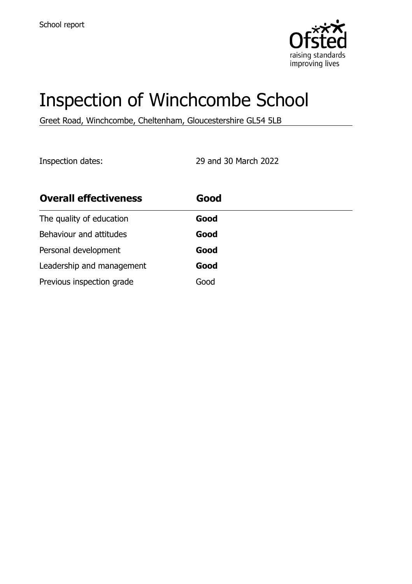

# Inspection of Winchcombe School

Greet Road, Winchcombe, Cheltenham, Gloucestershire GL54 5LB

Inspection dates: 29 and 30 March 2022

| <b>Overall effectiveness</b> | Good |
|------------------------------|------|
| The quality of education     | Good |
| Behaviour and attitudes      | Good |
| Personal development         | Good |
| Leadership and management    | Good |
| Previous inspection grade    | Good |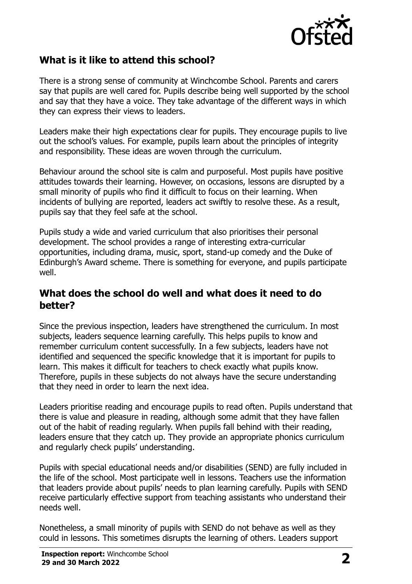

# **What is it like to attend this school?**

There is a strong sense of community at Winchcombe School. Parents and carers say that pupils are well cared for. Pupils describe being well supported by the school and say that they have a voice. They take advantage of the different ways in which they can express their views to leaders.

Leaders make their high expectations clear for pupils. They encourage pupils to live out the school's values. For example, pupils learn about the principles of integrity and responsibility. These ideas are woven through the curriculum.

Behaviour around the school site is calm and purposeful. Most pupils have positive attitudes towards their learning. However, on occasions, lessons are disrupted by a small minority of pupils who find it difficult to focus on their learning. When incidents of bullying are reported, leaders act swiftly to resolve these. As a result, pupils say that they feel safe at the school.

Pupils study a wide and varied curriculum that also prioritises their personal development. The school provides a range of interesting extra-curricular opportunities, including drama, music, sport, stand-up comedy and the Duke of Edinburgh's Award scheme. There is something for everyone, and pupils participate well.

#### **What does the school do well and what does it need to do better?**

Since the previous inspection, leaders have strengthened the curriculum. In most subjects, leaders sequence learning carefully. This helps pupils to know and remember curriculum content successfully. In a few subjects, leaders have not identified and sequenced the specific knowledge that it is important for pupils to learn. This makes it difficult for teachers to check exactly what pupils know. Therefore, pupils in these subjects do not always have the secure understanding that they need in order to learn the next idea.

Leaders prioritise reading and encourage pupils to read often. Pupils understand that there is value and pleasure in reading, although some admit that they have fallen out of the habit of reading regularly. When pupils fall behind with their reading, leaders ensure that they catch up. They provide an appropriate phonics curriculum and regularly check pupils' understanding.

Pupils with special educational needs and/or disabilities (SEND) are fully included in the life of the school. Most participate well in lessons. Teachers use the information that leaders provide about pupils' needs to plan learning carefully. Pupils with SEND receive particularly effective support from teaching assistants who understand their needs well.

Nonetheless, a small minority of pupils with SEND do not behave as well as they could in lessons. This sometimes disrupts the learning of others. Leaders support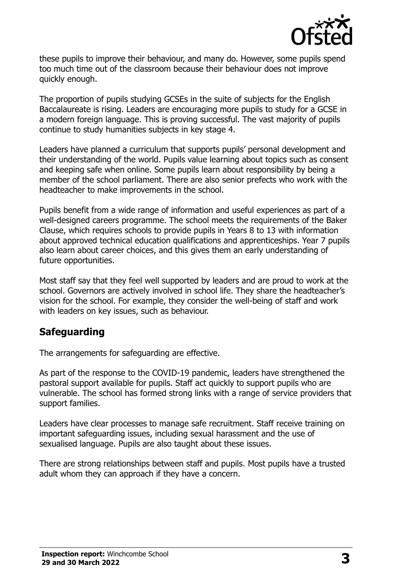

these pupils to improve their behaviour, and many do. However, some pupils spend too much time out of the classroom because their behaviour does not improve quickly enough.

The proportion of pupils studying GCSEs in the suite of subjects for the English Baccalaureate is rising. Leaders are encouraging more pupils to study for a GCSE in a modern foreign language. This is proving successful. The vast majority of pupils continue to study humanities subjects in key stage 4.

Leaders have planned a curriculum that supports pupils' personal development and their understanding of the world. Pupils value learning about topics such as consent and keeping safe when online. Some pupils learn about responsibility by being a member of the school parliament. There are also senior prefects who work with the headteacher to make improvements in the school.

Pupils benefit from a wide range of information and useful experiences as part of a well-designed careers programme. The school meets the requirements of the Baker Clause, which requires schools to provide pupils in Years 8 to 13 with information about approved technical education qualifications and apprenticeships. Year 7 pupils also learn about career choices, and this gives them an early understanding of future opportunities.

Most staff say that they feel well supported by leaders and are proud to work at the school. Governors are actively involved in school life. They share the headteacher's vision for the school. For example, they consider the well-being of staff and work with leaders on key issues, such as behaviour.

# **Safeguarding**

The arrangements for safeguarding are effective.

As part of the response to the COVID-19 pandemic, leaders have strengthened the pastoral support available for pupils. Staff act quickly to support pupils who are vulnerable. The school has formed strong links with a range of service providers that support families.

Leaders have clear processes to manage safe recruitment. Staff receive training on important safeguarding issues, including sexual harassment and the use of sexualised language. Pupils are also taught about these issues.

There are strong relationships between staff and pupils. Most pupils have a trusted adult whom they can approach if they have a concern.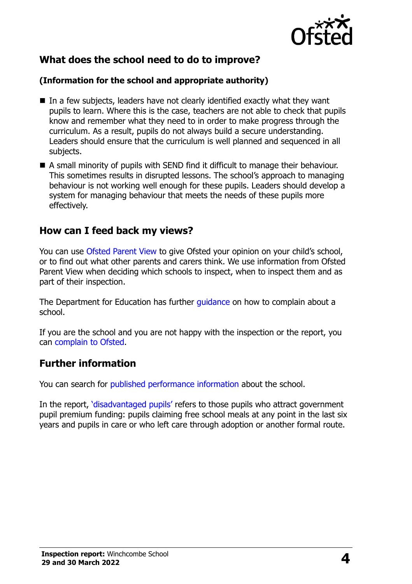

# **What does the school need to do to improve?**

#### **(Information for the school and appropriate authority)**

- In a few subjects, leaders have not clearly identified exactly what they want pupils to learn. Where this is the case, teachers are not able to check that pupils know and remember what they need to in order to make progress through the curriculum. As a result, pupils do not always build a secure understanding. Leaders should ensure that the curriculum is well planned and sequenced in all subjects.
- A small minority of pupils with SEND find it difficult to manage their behaviour. This sometimes results in disrupted lessons. The school's approach to managing behaviour is not working well enough for these pupils. Leaders should develop a system for managing behaviour that meets the needs of these pupils more effectively.

### **How can I feed back my views?**

You can use [Ofsted Parent View](http://parentview.ofsted.gov.uk/) to give Ofsted your opinion on your child's school, or to find out what other parents and carers think. We use information from Ofsted Parent View when deciding which schools to inspect, when to inspect them and as part of their inspection.

The Department for Education has further quidance on how to complain about a school.

If you are the school and you are not happy with the inspection or the report, you can [complain to Ofsted.](http://www.gov.uk/complain-ofsted-report)

### **Further information**

You can search for [published performance information](http://www.compare-school-performance.service.gov.uk/) about the school.

In the report, '[disadvantaged pupils](http://www.gov.uk/guidance/pupil-premium-information-for-schools-and-alternative-provision-settings)' refers to those pupils who attract government pupil premium funding: pupils claiming free school meals at any point in the last six years and pupils in care or who left care through adoption or another formal route.

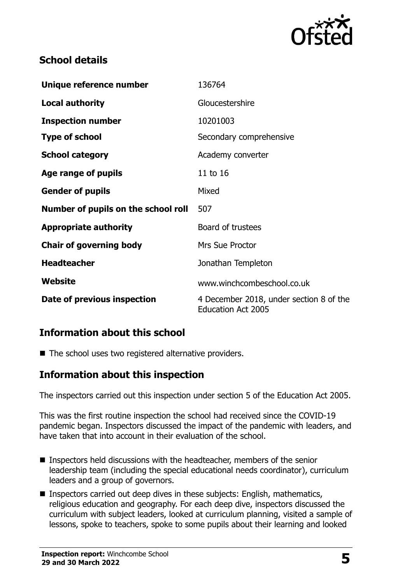

# **School details**

| Unique reference number             | 136764                                                               |  |
|-------------------------------------|----------------------------------------------------------------------|--|
| Local authority                     | Gloucestershire                                                      |  |
| <b>Inspection number</b>            | 10201003                                                             |  |
| <b>Type of school</b>               | Secondary comprehensive                                              |  |
| <b>School category</b>              | Academy converter                                                    |  |
| Age range of pupils                 | 11 to 16                                                             |  |
| <b>Gender of pupils</b>             | Mixed                                                                |  |
| Number of pupils on the school roll | 507                                                                  |  |
| <b>Appropriate authority</b>        | Board of trustees                                                    |  |
| <b>Chair of governing body</b>      | <b>Mrs Sue Proctor</b>                                               |  |
| <b>Headteacher</b>                  | Jonathan Templeton                                                   |  |
| Website                             | www.winchcombeschool.co.uk                                           |  |
| Date of previous inspection         | 4 December 2018, under section 8 of the<br><b>Education Act 2005</b> |  |

### **Information about this school**

■ The school uses two registered alternative providers.

### **Information about this inspection**

The inspectors carried out this inspection under section 5 of the Education Act 2005.

This was the first routine inspection the school had received since the COVID-19 pandemic began. Inspectors discussed the impact of the pandemic with leaders, and have taken that into account in their evaluation of the school.

- Inspectors held discussions with the headteacher, members of the senior leadership team (including the special educational needs coordinator), curriculum leaders and a group of governors.
- Inspectors carried out deep dives in these subjects: English, mathematics, religious education and geography. For each deep dive, inspectors discussed the curriculum with subject leaders, looked at curriculum planning, visited a sample of lessons, spoke to teachers, spoke to some pupils about their learning and looked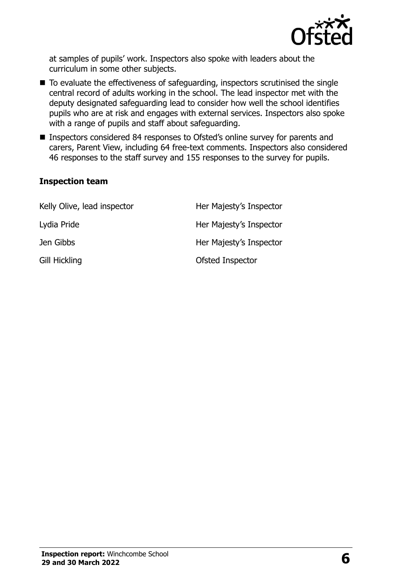

at samples of pupils' work. Inspectors also spoke with leaders about the curriculum in some other subjects.

- To evaluate the effectiveness of safeguarding, inspectors scrutinised the single central record of adults working in the school. The lead inspector met with the deputy designated safeguarding lead to consider how well the school identifies pupils who are at risk and engages with external services. Inspectors also spoke with a range of pupils and staff about safeguarding.
- Inspectors considered 84 responses to Ofsted's online survey for parents and carers, Parent View, including 64 free-text comments. Inspectors also considered 46 responses to the staff survey and 155 responses to the survey for pupils.

#### **Inspection team**

| Kelly Olive, lead inspector | Her Majesty's Inspector |
|-----------------------------|-------------------------|
| Lydia Pride                 | Her Majesty's Inspector |
| Jen Gibbs                   | Her Majesty's Inspector |
| <b>Gill Hickling</b>        | Ofsted Inspector        |